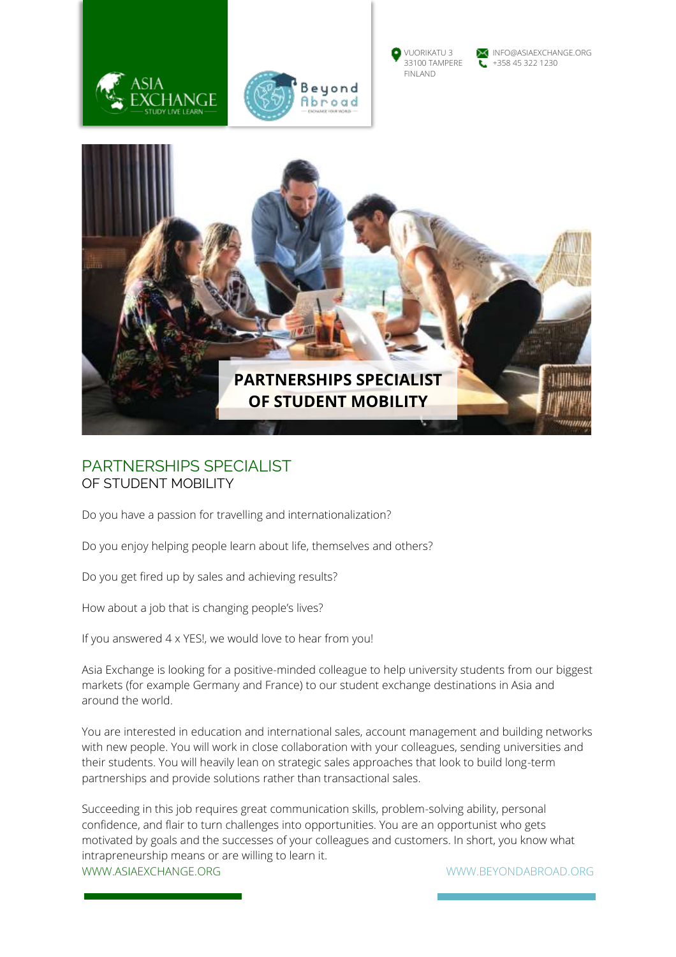





VUORIKATU 3 NEO@ASIAEXCHANGE.ORG<br>33100 TAMPERE 1+358 45 322 1230



# PARTNERSHIPS SPECIALIST OF STUDENT MOBILITY

Do you have a passion for travelling and internationalization?

Do you enjoy helping people learn about life, themselves and others?

Do you get fired up by sales and achieving results?

How about a job that is changing people's lives?

If you answered 4 x YES!, we would love to hear from you!

Asia Exchange is looking for a positive-minded colleague to help university students from our biggest markets (for example Germany and France) to our student exchange destinations in Asia and around the world.

You are interested in education and international sales, account management and building networks with new people. You will work in close collaboration with your colleagues, sending universities and their students. You will heavily lean on strategic sales approaches that look to build long-term partnerships and provide solutions rather than transactional sales.

WWW.ASIAEXCHANGE.ORG WWW.BEYONDABROAD.ORG Succeeding in this job requires great communication skills, problem-solving ability, personal confidence, and flair to turn challenges into opportunities. You are an opportunist who gets motivated by goals and the successes of your colleagues and customers. In short, you know what intrapreneurship means or are willing to learn it.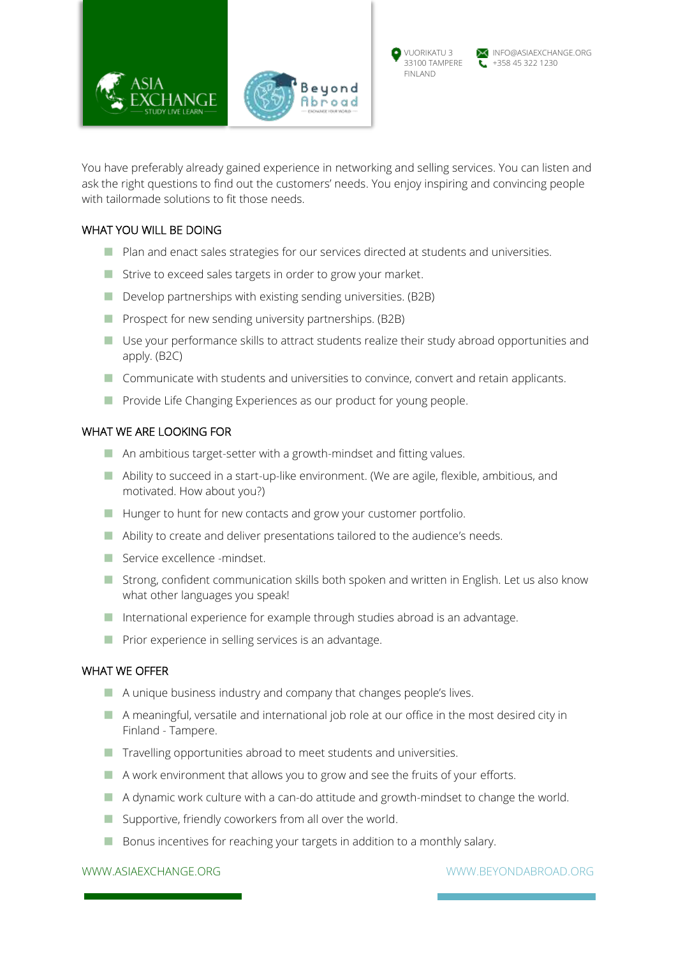

You have preferably already gained experience in networking and selling services. You can listen and ask the right questions to find out the customers' needs. You enjoy inspiring and convincing people with tailormade solutions to fit those needs.

## WHAT YOU WILL BE DOING

- Plan and enact sales strategies for our services directed at students and universities.
- **E** Strive to exceed sales targets in order to grow your market.
- $\blacksquare$  Develop partnerships with existing sending universities. (B2B)
- **Prospect for new sending university partnerships. (B2B)**
- $\blacksquare$  Use your performance skills to attract students realize their study abroad opportunities and apply. (B2C)
- Communicate with students and universities to convince, convert and retain applicants.
- **E** Provide Life Changing Experiences as our product for young people.

#### WHAT WE ARE LOOKING FOR

- $\blacksquare$  An ambitious target-setter with a growth-mindset and fitting values.
- **Ability to succeed in a start-up-like environment. (We are agile, flexible, ambitious, and** motivated. How about you?)
- **E** Hunger to hunt for new contacts and grow your customer portfolio.
- Ability to create and deliver presentations tailored to the audience's needs.
- Service excellence -mindset.
- **E** Strong, confident communication skills both spoken and written in English. Let us also know what other languages you speak!
- International experience for example through studies abroad is an advantage.
- **Prior experience in selling services is an advantage.**

#### WHAT WE OFFER

- A unique business industry and company that changes people's lives.
- $\blacksquare$  A meaningful, versatile and international job role at our office in the most desired city in Finland - Tampere.
- $\blacksquare$  Travelling opportunities abroad to meet students and universities.
- $\blacksquare$  A work environment that allows you to grow and see the fruits of your efforts.
- $\blacksquare$  A dynamic work culture with a can-do attitude and growth-mindset to change the world.
- $\blacksquare$  Supportive, friendly coworkers from all over the world.
- $\blacksquare$  Bonus incentives for reaching your targets in addition to a monthly salary.